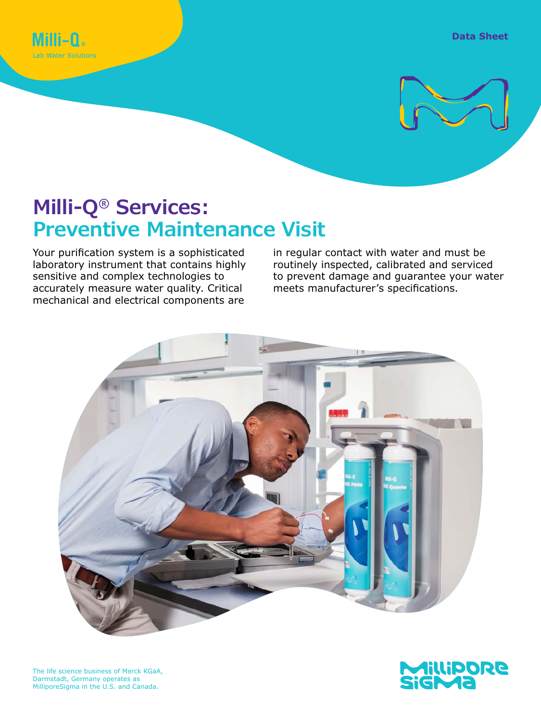



# **Milli-Q® Services: Preventive Maintenance Visit**

Your purification system is a sophisticated laboratory instrument that contains highly sensitive and complex technologies to accurately measure water quality. Critical mechanical and electrical components are

in regular contact with water and must be routinely inspected, calibrated and serviced to prevent damage and guarantee your water meets manufacturer's specifications.





The life science business of Merck KGaA, Darmstadt, Germany operates as MilliporeSigma in the U.S. and Canada.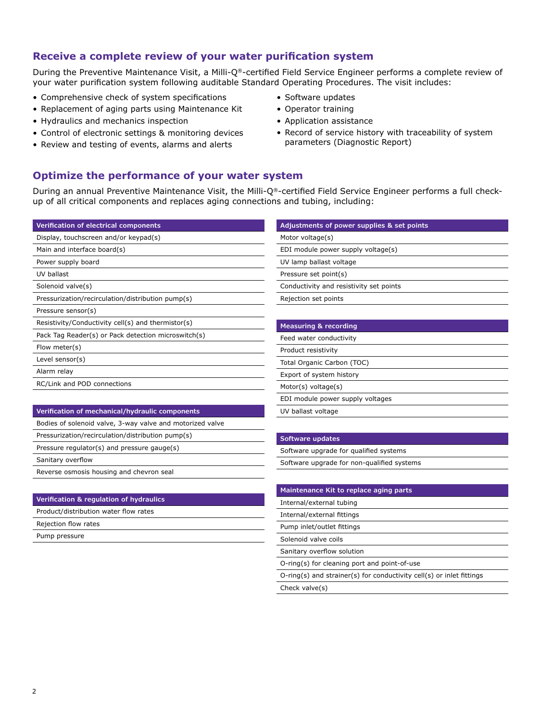# **Receive a complete review of your water purification system**

During the Preventive Maintenance Visit, a Milli-Q®-certified Field Service Engineer performs a complete review of your water purification system following auditable Standard Operating Procedures. The visit includes:

- Comprehensive check of system specifications
- Replacement of aging parts using Maintenance Kit
- Hydraulics and mechanics inspection
- Control of electronic settings & monitoring devices
- Review and testing of events, alarms and alerts
- Software updates
- Operator training
- Application assistance
- Record of service history with traceability of system parameters (Diagnostic Report)

# **Optimize the performance of your water system**

During an annual Preventive Maintenance Visit, the Milli-Q®-certified Field Service Engineer performs a full checkup of all critical components and replaces aging connections and tubing, including:

| Verification of electrical components                     | Adjustments of power supplies & set points |  |
|-----------------------------------------------------------|--------------------------------------------|--|
| Display, touchscreen and/or keypad(s)                     | Motor voltage(s)                           |  |
| Main and interface board(s)                               | EDI module power supply voltage(s)         |  |
| Power supply board                                        | UV lamp ballast voltage                    |  |
| UV ballast                                                | Pressure set point(s)                      |  |
| Solenoid valve(s)                                         | Conductivity and resistivity set points    |  |
| Pressurization/recirculation/distribution pump(s)         | Rejection set points                       |  |
| Pressure sensor(s)                                        |                                            |  |
| Resistivity/Conductivity cell(s) and thermistor(s)        | <b>Measuring &amp; recording</b>           |  |
| Pack Tag Reader(s) or Pack detection microswitch(s)       | Feed water conductivity                    |  |
| Flow meter(s)                                             | Product resistivity                        |  |
| Level sensor(s)                                           | Total Organic Carbon (TOC)                 |  |
| Alarm relay                                               | Export of system history                   |  |
| RC/Link and POD connections                               | Motor(s) voltage(s)                        |  |
|                                                           | EDI module power supply voltages           |  |
| Verification of mechanical/hydraulic components           | UV ballast voltage                         |  |
| Bodies of solenoid valve, 3-way valve and motorized valve |                                            |  |
| Pressurization/recirculation/distribution pump(s)         | Software updates                           |  |
| Pressure regulator(s) and pressure gauge(s)               | Software upgrade for qualified systems     |  |

Sanitary overflow

Reverse osmosis housing and chevron seal

#### **Verification & regulation of hydraulics**

Product/distribution water flow rates

Rejection flow rates

Pump pressure

Software upgrade for qualified systems

Software upgrade for non-qualified systems

#### **Maintenance Kit to replace aging parts**

Internal/external tubing

Internal/external fittings

Pump inlet/outlet fittings

Solenoid valve coils

Sanitary overflow solution

O-ring(s) for cleaning port and point-of-use

O-ring(s) and strainer(s) for conductivity cell(s) or inlet fittings

Check valve(s)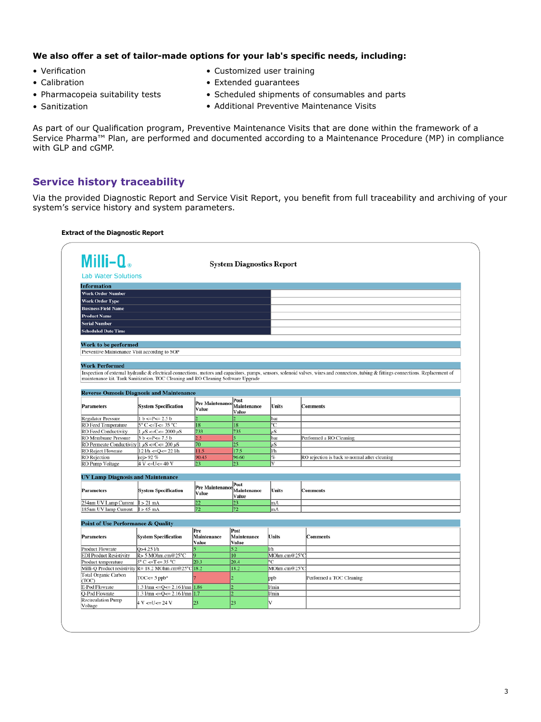### **We also offer a set of tailor-made options for your lab's specific needs, including:**

- Verification
- Calibration

• Sanitization

- Pharmacopeia suitability tests
- Scheduled shipments of consumables and parts
- Additional Preventive Maintenance Visits

• Customized user training • Extended guarantees

As part of our Qualification program, Preventive Maintenance Visits that are done within the framework of a Service Pharma™ Plan, are performed and documented according to a Maintenance Procedure (MP) in compliance with GLP and cGMP.

# **Service history traceability**

Via the provided Diagnostic Report and Service Visit Report, you benefit from full traceability and archiving of your system's service history and system parameters.

#### **Extract of the Diagnostic Report**

| Milli-Q.                                                                                                                            | <b>System Diagnostics Report</b>                                                  |                        |                        |                              |                                                                                                                                                                                        |  |  |
|-------------------------------------------------------------------------------------------------------------------------------------|-----------------------------------------------------------------------------------|------------------------|------------------------|------------------------------|----------------------------------------------------------------------------------------------------------------------------------------------------------------------------------------|--|--|
| <b>Lab Water Solutions</b>                                                                                                          |                                                                                   |                        |                        |                              |                                                                                                                                                                                        |  |  |
| <b>Information</b>                                                                                                                  |                                                                                   |                        |                        |                              |                                                                                                                                                                                        |  |  |
| <b>Work Order Number</b>                                                                                                            |                                                                                   |                        |                        |                              |                                                                                                                                                                                        |  |  |
| <b>Work Order Type</b>                                                                                                              |                                                                                   |                        |                        |                              |                                                                                                                                                                                        |  |  |
| <b>Business Field Name</b>                                                                                                          |                                                                                   |                        |                        |                              |                                                                                                                                                                                        |  |  |
| <b>Product Name</b>                                                                                                                 |                                                                                   |                        |                        |                              |                                                                                                                                                                                        |  |  |
|                                                                                                                                     |                                                                                   |                        |                        |                              |                                                                                                                                                                                        |  |  |
| <b>Serial Number</b>                                                                                                                |                                                                                   |                        |                        |                              |                                                                                                                                                                                        |  |  |
| <b>Scheduled Date Time</b>                                                                                                          |                                                                                   |                        |                        |                              |                                                                                                                                                                                        |  |  |
| Work to be performed                                                                                                                |                                                                                   |                        |                        |                              |                                                                                                                                                                                        |  |  |
| Preventive Maintenance Visit according to SOP                                                                                       |                                                                                   |                        |                        |                              |                                                                                                                                                                                        |  |  |
|                                                                                                                                     |                                                                                   |                        |                        |                              |                                                                                                                                                                                        |  |  |
| <b>Work Performed</b>                                                                                                               |                                                                                   |                        |                        |                              |                                                                                                                                                                                        |  |  |
|                                                                                                                                     |                                                                                   |                        |                        |                              | Inspection of external hydraulic & electrical connections, motors and capacitors, pumps, sensors, solenoid valves, wires and connectors, tubing & fittings connections. Replacement of |  |  |
|                                                                                                                                     | maintenance kit. Tank Sanitization. TOC Cleaning and RO Cleaning Software Upgrade |                        |                        |                              |                                                                                                                                                                                        |  |  |
|                                                                                                                                     |                                                                                   |                        |                        |                              |                                                                                                                                                                                        |  |  |
|                                                                                                                                     | <b>Reverse Osmosis Diagnosis and Maintenance</b>                                  |                        |                        |                              |                                                                                                                                                                                        |  |  |
| Post                                                                                                                                |                                                                                   |                        |                        |                              |                                                                                                                                                                                        |  |  |
| <b>Parameters</b>                                                                                                                   | <b>System Specification</b>                                                       | <b>Pre Maintenance</b> | Maintenance            | <b>Units</b>                 | <b>Comments</b>                                                                                                                                                                        |  |  |
|                                                                                                                                     |                                                                                   | Value                  | Value                  |                              |                                                                                                                                                                                        |  |  |
| <b>Regulator Pressure</b>                                                                                                           | $1 b \le P \le 2.5 b$                                                             |                        |                        | bar                          |                                                                                                                                                                                        |  |  |
| RO Feed Temperature                                                                                                                 | $5^{\circ}$ C <= T <= 35 $^{\circ}$ C                                             | 18                     | 18                     | °C                           |                                                                                                                                                                                        |  |  |
| <b>RO</b> Feed Conductivity                                                                                                         | $1 \mu S \ll C \ll 2000 \mu S$                                                    | 733                    | 735                    | αŜ                           |                                                                                                                                                                                        |  |  |
| <b>RO</b> Membrane Pressure                                                                                                         | $3 b < P < = 7.5 b$                                                               | 2.5                    | 5.                     | bar                          | Performed a RO Cleaning                                                                                                                                                                |  |  |
| RO Permeate Conductivity $1 \mu S \leq C \leq 200 \mu S$                                                                            |                                                                                   | 70                     | 25                     | иS                           |                                                                                                                                                                                        |  |  |
| <b>RO</b> Reject Flowrate                                                                                                           | $121/h \leq Q \leq 221/h$                                                         | 11.5                   | 17.5                   | 1/h                          |                                                                                                                                                                                        |  |  |
| RO Rejection<br>RO Pump Voltage                                                                                                     | rej> 92 %<br>$4 V \leq U \leq 40 V$                                               | 90.45<br> 23           | 96.60<br>23            | %<br>$\overline{\mathbf{V}}$ | RO rejection is back to normal after cleaning                                                                                                                                          |  |  |
|                                                                                                                                     |                                                                                   |                        |                        |                              |                                                                                                                                                                                        |  |  |
| <b>UV Lamp Diagnosis and Maintenance</b>                                                                                            |                                                                                   |                        |                        |                              |                                                                                                                                                                                        |  |  |
|                                                                                                                                     |                                                                                   |                        | Post                   |                              |                                                                                                                                                                                        |  |  |
| Parameters                                                                                                                          | <b>System Specification</b>                                                       | Pre Maintenanc         | Maintenance            | <b>Units</b>                 | <b>Comments</b>                                                                                                                                                                        |  |  |
|                                                                                                                                     |                                                                                   | Value                  | Value                  |                              |                                                                                                                                                                                        |  |  |
| 254nm UV Lamp Current I > 21 mA                                                                                                     |                                                                                   | 22                     | 23                     | mA                           |                                                                                                                                                                                        |  |  |
| 185nm UV lamp Current                                                                                                               | $I > 65$ mA                                                                       | 72                     | 72                     | mA                           |                                                                                                                                                                                        |  |  |
|                                                                                                                                     |                                                                                   |                        |                        |                              |                                                                                                                                                                                        |  |  |
| <b>Point of Use Performance &amp; Quality</b>                                                                                       |                                                                                   |                        |                        |                              |                                                                                                                                                                                        |  |  |
|                                                                                                                                     |                                                                                   | Pre                    | Post                   |                              |                                                                                                                                                                                        |  |  |
| <b>Parameters</b>                                                                                                                   | <b>System Specification</b>                                                       | Maintenance            | Maintenance            | Units                        | Comments                                                                                                                                                                               |  |  |
|                                                                                                                                     |                                                                                   | Value                  | Value                  |                              |                                                                                                                                                                                        |  |  |
|                                                                                                                                     | O>4.25 l/h<br>R> 5 MOhm.cm@25°C                                                   | 5                      | 5.2<br>$\overline{10}$ | 1/h<br>MOhm.cm@25°C          |                                                                                                                                                                                        |  |  |
|                                                                                                                                     |                                                                                   |                        | 20.4                   | °C                           |                                                                                                                                                                                        |  |  |
|                                                                                                                                     |                                                                                   |                        |                        |                              |                                                                                                                                                                                        |  |  |
|                                                                                                                                     | $5^{\circ}$ C <= T <= 35 $^{\circ}$ C                                             | 20.3                   |                        |                              |                                                                                                                                                                                        |  |  |
|                                                                                                                                     | Milli-Q Product resistivity $R = 18.2$ MOhm.cm@25°C 18.2                          |                        | 18.2                   | MOhm.cm@25°C                 |                                                                                                                                                                                        |  |  |
|                                                                                                                                     | $TOC \leq 5$ ppb <sup>8</sup>                                                     |                        | 5                      | ppb                          | Performed a TOC Cleaning                                                                                                                                                               |  |  |
| <b>Product Flowrate</b><br><b>EDI Product Resistivity</b><br>Product temperature<br>Total Organic Carbon<br>(TOC)<br>E-Pod Flowrate | $1.3$ $1$ /mn <= Q <= 2.16 $1$ /mn $1.86$                                         |                        |                        | $U$ min                      |                                                                                                                                                                                        |  |  |
| Q-Pod Flowrate                                                                                                                      |                                                                                   |                        | 2                      | l/min                        |                                                                                                                                                                                        |  |  |
| <b>Recirculation Pump</b>                                                                                                           | $1.3$ $1/mn \leq Q \leq 2.16$ $1/mn$ 1.7<br>4 V < U < 24 V                        | 23                     | 23                     | v                            |                                                                                                                                                                                        |  |  |